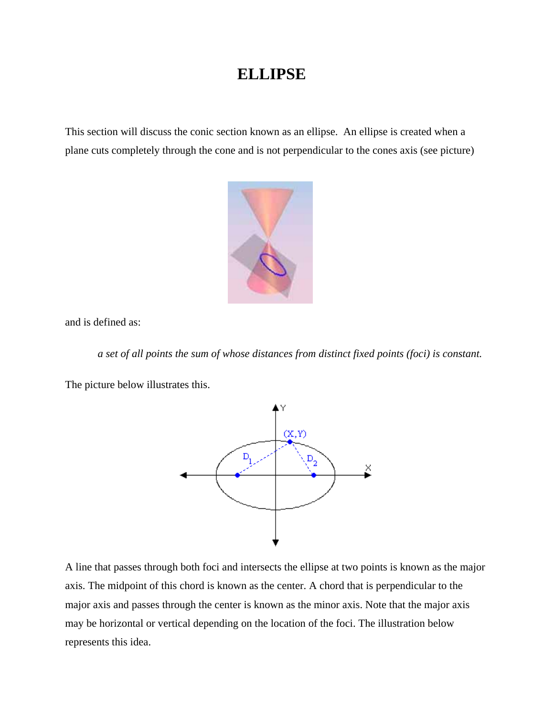## **ELLIPSE**

This section will discuss the conic section known as an ellipse. An ellipse is created when a plane cuts completely through the cone and is not perpendicular to the cones axis (see picture)



and is defined as:

 *a set of all points the sum of whose distances from distinct fixed points (foci) is constant.* 

The picture below illustrates this.



A line that passes through both foci and intersects the ellipse at two points is known as the major axis. The midpoint of this chord is known as the center. A chord that is perpendicular to the major axis and passes through the center is known as the minor axis. Note that the major axis may be horizontal or vertical depending on the location of the foci. The illustration below represents this idea.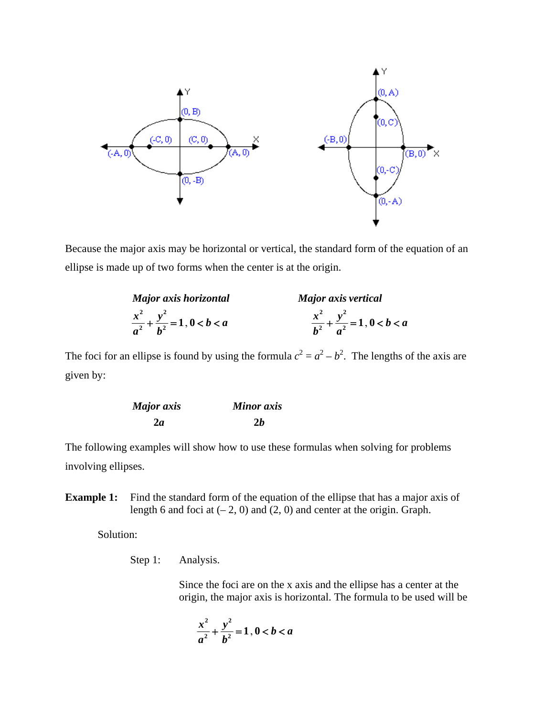

Because the major axis may be horizontal or vertical, the standard form of the equation of an ellipse is made up of two forms when the center is at the origin.

| Major axis horizontal                               | Major axis vertical                                |
|-----------------------------------------------------|----------------------------------------------------|
| $rac{x^2}{a^2} + \frac{y^2}{b^2} = 1$ , $0 < b < a$ | $\frac{x^2}{b^2} + \frac{y^2}{a^2} = 1, 0 < b < a$ |

The foci for an ellipse is found by using the formula  $c^2 = a^2 - b^2$ . The lengths of the axis are given by:

| Major axis | <b>Minor</b> axis |
|------------|-------------------|
| 2a         | 2b                |

The following examples will show how to use these formulas when solving for problems involving ellipses.

**Example 1:** Find the standard form of the equation of the ellipse that has a major axis of length 6 and foci at  $(-2, 0)$  and  $(2, 0)$  and center at the origin. Graph.

Solution:

Step 1: Analysis.

Since the foci are on the x axis and the ellipse has a center at the origin, the major axis is horizontal. The formula to be used will be

$$
\frac{x^2}{a^2} + \frac{y^2}{b^2} = 1, 0 < b < a
$$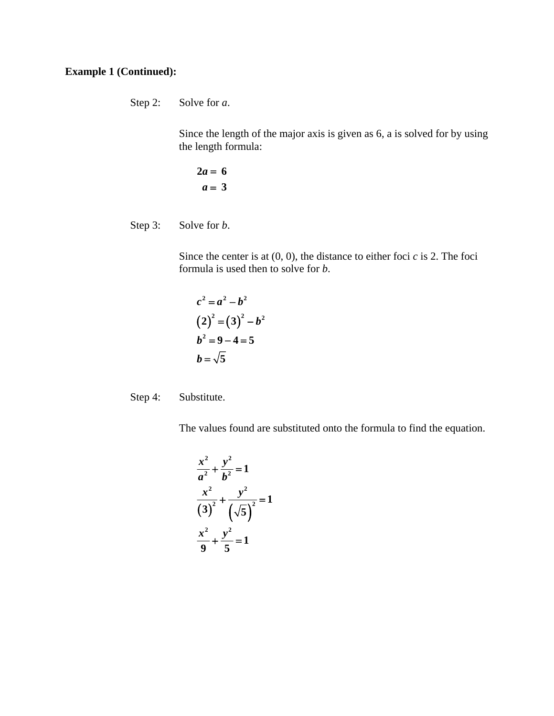## **Example 1 (Continued):**

Step 2: Solve for *a*.

Since the length of the major axis is given as 6, a is solved for by using the length formula:

 *<sup>a</sup>*  $a = 3$  $2a = 6$ 

Step 3: Solve for *b*.

Since the center is at (0, 0), the distance to either foci *c* is 2. The foci formula is used then to solve for *b*.

$$
c2 = a2 - b2
$$
  
(2)<sup>2</sup> = (3)<sup>2</sup> - b<sup>2</sup>  
b<sup>2</sup> = 9 - 4 = 5  
b =  $\sqrt{5}$ 

Step 4: Substitute.

The values found are substituted onto the formula to find the equation.

$$
\frac{x^2}{a^2} + \frac{y^2}{b^2} = 1
$$
  

$$
\frac{x^2}{(3)^2} + \frac{y^2}{(\sqrt{5})^2} = 1
$$
  

$$
\frac{x^2}{9} + \frac{y^2}{5} = 1
$$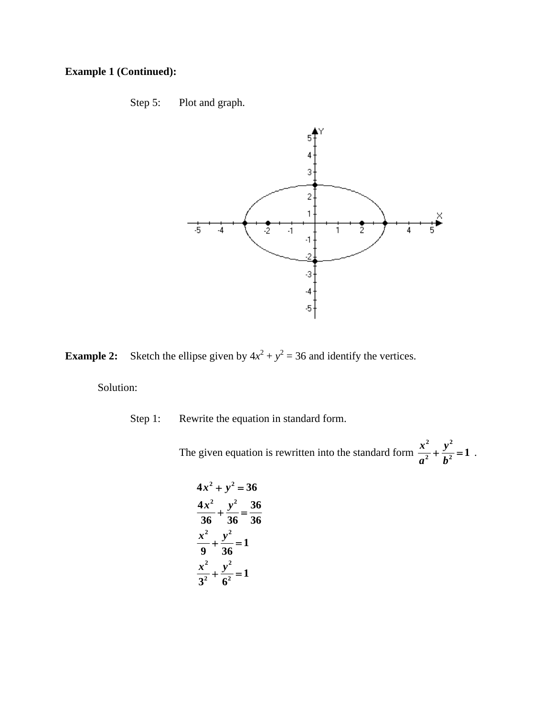## **Example 1 (Continued):**





**Example 2:** Sketch the ellipse given by  $4x^2 + y^2 = 36$  and identify the vertices.

Solution:

Step 1: Rewrite the equation in standard form.

The given equation is rewritten into the standard form  $\frac{x^2}{2} + \frac{y}{2}$  $a^2$  *b* **2 2**  $\frac{y}{\lambda^2} + \frac{y}{\lambda^2} = 1$ .

$$
4x2 + y2 = 36
$$
  

$$
\frac{4x^{2}}{36} + \frac{y^{2}}{36} = \frac{36}{36}
$$
  

$$
\frac{x^{2}}{9} + \frac{y^{2}}{36} = 1
$$
  

$$
\frac{x^{2}}{3^{2}} + \frac{y^{2}}{6^{2}} = 1
$$